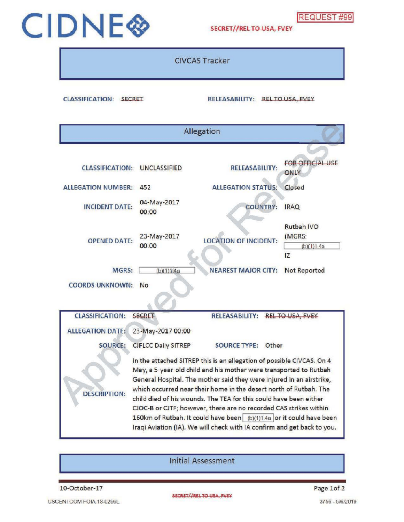

## CIDNE<sup>S</sup>

CIVCAS Tracker

CLASSIFICATION: SECRET RELEASABILITY: REL TO USA, FVEY

| Allegation                               |                                                                                                                                                                                                                                                                                                                                                                                                                                                                                                                                                                                      |                                 |                                           |  |  |
|------------------------------------------|--------------------------------------------------------------------------------------------------------------------------------------------------------------------------------------------------------------------------------------------------------------------------------------------------------------------------------------------------------------------------------------------------------------------------------------------------------------------------------------------------------------------------------------------------------------------------------------|---------------------------------|-------------------------------------------|--|--|
| <b>CLASSIFICATION:</b>                   | <b>UNCLASSIFIED</b>                                                                                                                                                                                                                                                                                                                                                                                                                                                                                                                                                                  | <b>RELEASABILITY:</b>           | <b>FOR OFFICIAL USE</b><br>ONLY           |  |  |
| <b>ALLEGATION NUMBER:</b>                | 452                                                                                                                                                                                                                                                                                                                                                                                                                                                                                                                                                                                  | <b>ALLEGATION STATUS:</b>       | Closed                                    |  |  |
| <b>INCIDENT DATE:</b>                    | 04-May-2017<br>00:00                                                                                                                                                                                                                                                                                                                                                                                                                                                                                                                                                                 | <b>COUNTRY:</b>                 | <b>IRAQ</b>                               |  |  |
| <b>OPENED DATE:</b>                      | 23-May-2017<br>00:00                                                                                                                                                                                                                                                                                                                                                                                                                                                                                                                                                                 | <b>LOCATION OF INCIDENT:</b>    | Rutbah IVO<br>(MGRS:<br>(b)(1)1.4a<br>IZ. |  |  |
| <b>MGRS:</b>                             | (b)(1)1.4a                                                                                                                                                                                                                                                                                                                                                                                                                                                                                                                                                                           | <b>NEAREST MAJOR CITY:</b>      | Not Reported                              |  |  |
| <b>COORDS UNKNOWN:</b><br>N <sub>o</sub> |                                                                                                                                                                                                                                                                                                                                                                                                                                                                                                                                                                                      |                                 |                                           |  |  |
| <b>CLASSIFICATION:</b>                   | <b>SECRET</b>                                                                                                                                                                                                                                                                                                                                                                                                                                                                                                                                                                        | RELEASABILITY: REL TO USA, FVEY |                                           |  |  |
| <b>ALLEGATION DATE:</b><br>SOURCE:       | 23-May-2017 00:00<br><b>CJFLCC Daily SITREP</b>                                                                                                                                                                                                                                                                                                                                                                                                                                                                                                                                      | <b>SOURCE TYPE:</b><br>Other    |                                           |  |  |
| <b>DESCRIPTION:</b>                      | In the attached SITREP this is an allegation of possible CIVCAS. On 4<br>May, a 5-year-old child and his mother were transported to Rutbah<br>General Hospital. The mother said they were injured in an airstrike,<br>which occurred near their home in the desert north of Rutbah. The<br>child died of his wounds. The TEA for this could have been either<br>CJOC-B or CJTF; however, there are no recorded CAS strikes within<br>160km of Rutbah. It could have been (b)(1)1.4a or it could have been<br>Iraqi Aviation (IA). We will check with IA confirm and get back to you. |                                 |                                           |  |  |

InitialAssessment

10-October-17 Page 1of 2

USCENTCOM FOIA 18-0296L 3756 - 5/6/2019

SECRET//RELTO USA, FVEY